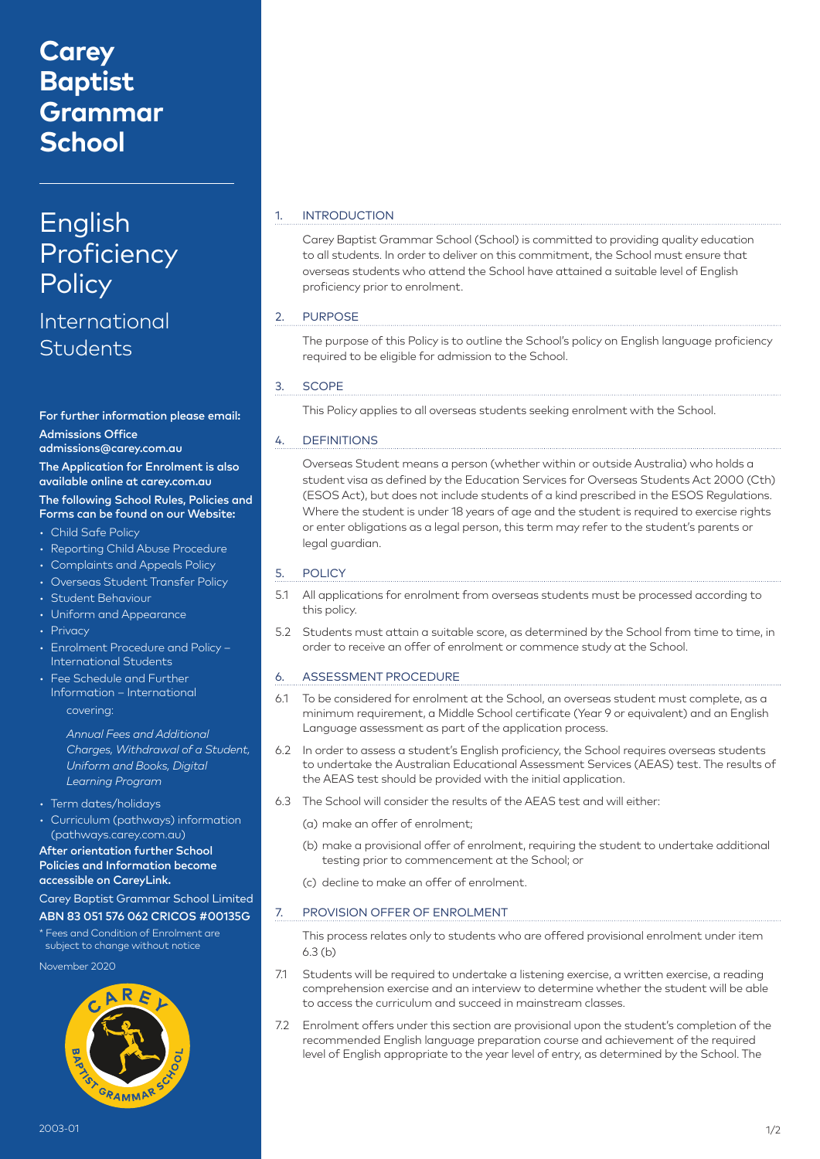## **Carey Baptist Grammar School**

# English **Proficiency Policy**

### International **Students**

#### For further information please email: Admissions Office

admissions@carey.com.au The Application for Enrolment is also available online at carey.com.au

#### The following School Rules, Policies and Forms can be found on our Website:

- Child Safe Policy
- Reporting Child Abuse Procedure
- Complaints and Appeals Policy
- Overseas Student Transfer Policy
- Student Behaviour
- Uniform and Appearance
- Privacy
- Enrolment Procedure and Policy International Students
- Fee Schedule and Further Information – International covering:
	- *Annual Fees and Additional Charges, Withdrawal of a Student, Uniform and Books, Digital Learning Program*
- Term dates/holidays
- Curriculum (pathways) information (pathways.carey.com.au)

#### After orientation further School Policies and Information become accessible on CareyLink.

Carey Baptist Grammar School Limited

#### ABN 83 051 576 062 CRICOS #00135G

\* Fees and Condition of Enrolment are subject to change without notice

November 2020



#### **INTRODUCTION**

Carey Baptist Grammar School (School) is committed to providing quality education to all students. In order to deliver on this commitment, the School must ensure that overseas students who attend the School have attained a suitable level of English proficiency prior to enrolment.

#### 2. PURPOSE

The purpose of this Policy is to outline the School's policy on English language proficiency required to be eligible for admission to the School.

#### 3. SCOPE

This Policy applies to all overseas students seeking enrolment with the School.

#### 4. DEFINITIONS

Overseas Student means a person (whether within or outside Australia) who holds a student visa as defined by the Education Services for Overseas Students Act 2000 (Cth) (ESOS Act), but does not include students of a kind prescribed in the ESOS Regulations. Where the student is under 18 years of age and the student is required to exercise rights or enter obligations as a legal person, this term may refer to the student's parents or legal guardian.

#### 5. POLICY

- 5.1 All applications for enrolment from overseas students must be processed according to this policy.
- 5.2 Students must attain a suitable score, as determined by the School from time to time, in order to receive an offer of enrolment or commence study at the School.

#### 6. ASSESSMENT PROCEDURE

- 6.1 To be considered for enrolment at the School, an overseas student must complete, as a minimum requirement, a Middle School certificate (Year 9 or equivalent) and an English Language assessment as part of the application process.
- 6.2 In order to assess a student's English proficiency, the School requires overseas students to undertake the Australian Educational Assessment Services (AEAS) test. The results of the AEAS test should be provided with the initial application.
- 6.3 The School will consider the results of the AEAS test and will either:
	- (a) make an offer of enrolment;
	- (b) make a provisional offer of enrolment, requiring the student to undertake additional testing prior to commencement at the School; or
	- (c) decline to make an offer of enrolment.

#### 7. PROVISION OFFER OF ENROLMENT

This process relates only to students who are offered provisional enrolment under item  $6.3(h)$ 

- 7.1 Students will be required to undertake a listening exercise, a written exercise, a reading comprehension exercise and an interview to determine whether the student will be able to access the curriculum and succeed in mainstream classes.
- 7.2 Enrolment offers under this section are provisional upon the student's completion of the recommended English language preparation course and achievement of the required level of English appropriate to the year level of entry, as determined by the School. The